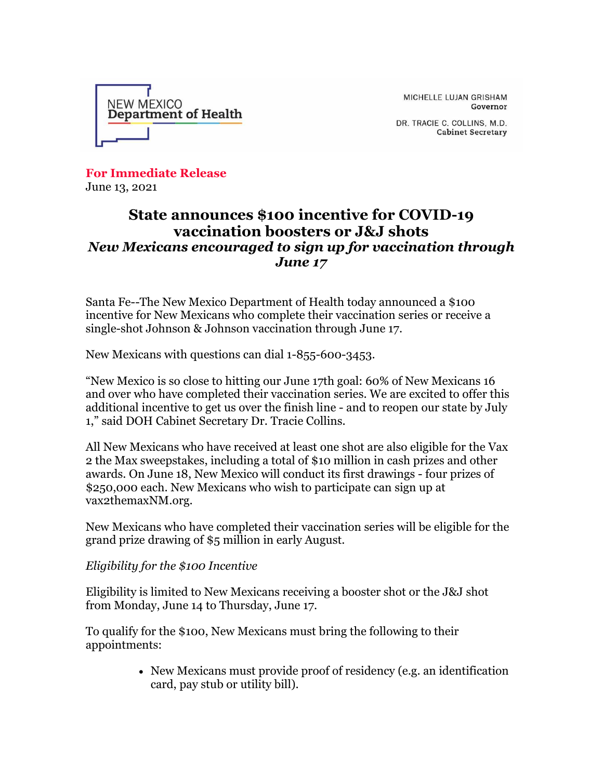

MICHELLE LUJAN GRISHAM Governor

DR. TRACIE C. COLLINS, M.D. **Cabinet Secretary** 

**For Immediate Release** June 13, 2021

## **State announces \$100 incentive for COVID-19 vaccination boosters or J&J shots** *New Mexicans encouraged to sign up for vaccination through June 17*

Santa Fe--The New Mexico Department of Health today announced a \$100 incentive for New Mexicans who complete their vaccination series or receive a single-shot Johnson & Johnson vaccination through June 17.

New Mexicans with questions can dial 1-855-600-3453.

"New Mexico is so close to hitting our June 17th goal: 60% of New Mexicans 16 and over who have completed their vaccination series. We are excited to offer this additional incentive to get us over the finish line - and to reopen our state by July 1," said DOH Cabinet Secretary Dr. Tracie Collins.

All New Mexicans who have received at least one shot are also eligible for the Vax 2 the Max sweepstakes, including a total of \$10 million in cash prizes and other awards. On June 18, New Mexico will conduct its first drawings - four prizes of \$250,000 each. New Mexicans who wish to participate can sign up at vax2themaxNM.org.

New Mexicans who have completed their vaccination series will be eligible for the grand prize drawing of \$5 million in early August.

*Eligibility for the \$100 Incentive*

Eligibility is limited to New Mexicans receiving a booster shot or the J&J shot from Monday, June 14 to Thursday, June 17.

To qualify for the \$100, New Mexicans must bring the following to their appointments:

> • New Mexicans must provide proof of residency (e.g. an identification card, pay stub or utility bill).